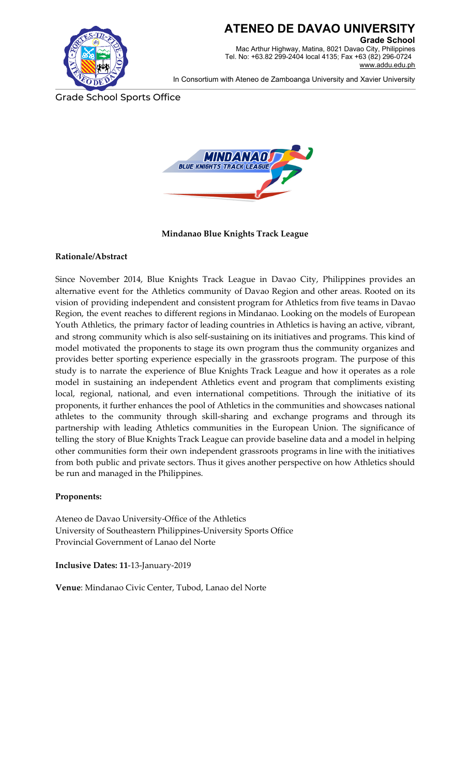

## **ATENEO DE DAVAO UNIVERSITY**

**Grade School** Mac Arthur Highway, Matina, 8021 Davao City, Philippines Tel. No: +63.82 299-2404 local 4135; Fax +63 (82) 296-0724 [www.addu.edu.ph](http://www.addu.edu.ph/)

In Consortium with Ateneo de Zamboanga University and Xavier University

Grade School Sports Office



**Mindanao Blue Knights Track League**

## **Rationale/Abstract**

Since November 2014, Blue Knights Track League in Davao City, Philippines provides an alternative event for the Athletics community of Davao Region and other areas. Rooted on its vision of providing independent and consistent program for Athletics from five teams in Davao Region, the event reaches to different regions in Mindanao. Looking on the models of European Youth Athletics, the primary factor of leading countries in Athletics is having an active, vibrant, and strong community which is also self-sustaining on its initiatives and programs. This kind of model motivated the proponents to stage its own program thus the community organizes and provides better sporting experience especially in the grassroots program. The purpose of this study is to narrate the experience of Blue Knights Track League and how it operates as a role model in sustaining an independent Athletics event and program that compliments existing local, regional, national, and even international competitions. Through the initiative of its proponents, it further enhances the pool of Athletics in the communities and showcases national athletes to the community through skill-sharing and exchange programs and through its partnership with leading Athletics communities in the European Union. The significance of telling the story of Blue Knights Track League can provide baseline data and a model in helping other communities form their own independent grassroots programs in line with the initiatives from both public and private sectors. Thus it gives another perspective on how Athletics should be run and managed in the Philippines.

#### **Proponents:**

Ateneo de Davao University-Office of the Athletics University of Southeastern Philippines-University Sports Office Provincial Government of Lanao del Norte

**Inclusive Dates: 11**-13-January-2019

**Venue**: Mindanao Civic Center, Tubod, Lanao del Norte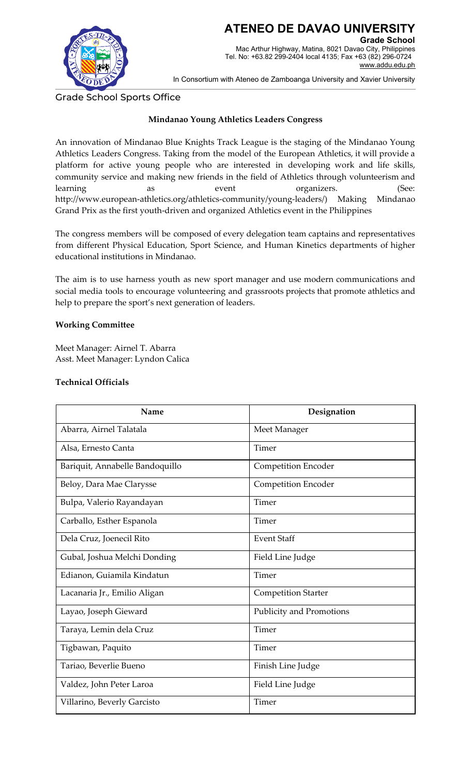

In Consortium with Ateneo de Zamboanga University and Xavier University

Grade School Sports Office

## **Mindanao Young Athletics Leaders Congress**

An innovation of Mindanao Blue Knights Track League is the staging of the Mindanao Young Athletics Leaders Congress. Taking from the model of the European Athletics, it will provide a platform for active young people who are interested in developing work and life skills, community service and making new friends in the field of Athletics through volunteerism and learning as as event organizers. (See: http://www.european-athletics.org/athletics-community/young-leaders/) Making Mindanao Grand Prix as the first youth-driven and organized Athletics event in the Philippines

The congress members will be composed of every delegation team captains and representatives from different Physical Education, Sport Science, and Human Kinetics departments of higher educational institutions in Mindanao.

The aim is to use harness youth as new sport manager and use modern communications and social media tools to encourage volunteering and grassroots projects that promote athletics and help to prepare the sport's next generation of leaders.

#### **Working Committee**

Meet Manager: Airnel T. Abarra Asst. Meet Manager: Lyndon Calica

#### **Technical Officials**

| Name                            | Designation                |
|---------------------------------|----------------------------|
| Abarra, Airnel Talatala         | Meet Manager               |
| Alsa, Ernesto Canta             | Timer                      |
| Bariquit, Annabelle Bandoquillo | <b>Competition Encoder</b> |
| Beloy, Dara Mae Clarysse        | <b>Competition Encoder</b> |
| Bulpa, Valerio Rayandayan       | Timer                      |
| Carballo, Esther Espanola       | Timer                      |
| Dela Cruz, Joenecil Rito        | <b>Event Staff</b>         |
| Gubal, Joshua Melchi Donding    | Field Line Judge           |
| Edianon, Guiamila Kindatun      | Timer                      |
| Lacanaria Jr., Emilio Aligan    | <b>Competition Starter</b> |
| Layao, Joseph Gieward           | Publicity and Promotions   |
| Taraya, Lemin dela Cruz         | Timer                      |
| Tigbawan, Paquito               | Timer                      |
| Tariao, Beverlie Bueno          | Finish Line Judge          |
| Valdez, John Peter Laroa        | Field Line Judge           |
| Villarino, Beverly Garcisto     | Timer                      |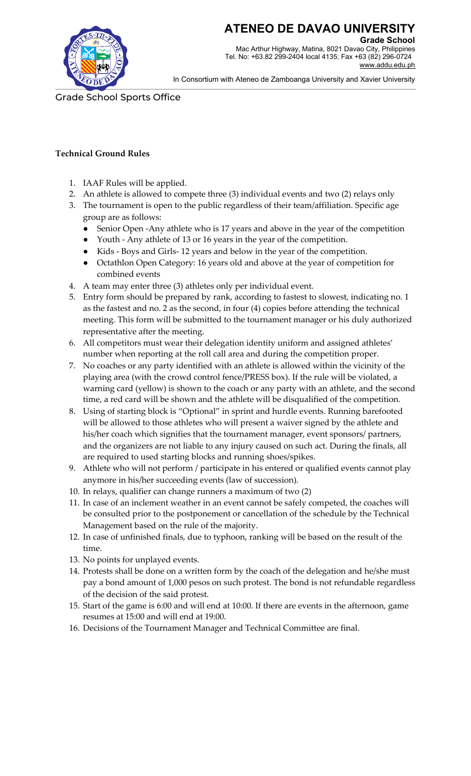

**ATENEO DE DAVAO UNIVERSITY**

**Grade School** Mac Arthur Highway, Matina, 8021 Davao City, Philippines Tel. No: +63.82 299-2404 local 4135; Fax +63 (82) 296-0724 [www.addu.edu.ph](http://www.addu.edu.ph/)

In Consortium with Ateneo de Zamboanga University and Xavier University

Grade School Sports Office

## **Technical Ground Rules**

- 1. IAAF Rules will be applied.
- 2. An athlete is allowed to compete three (3) individual events and two (2) relays only
- 3. The tournament is open to the public regardless of their team/affiliation. Specific age group are as follows:
	- Senior Open -Any athlete who is 17 years and above in the year of the competition
	- Youth Any athlete of 13 or 16 years in the year of the competition.
	- Kids Boys and Girls- 12 years and below in the year of the competition.
	- Octathlon Open Category: 16 years old and above at the year of competition for combined events
- 4. A team may enter three (3) athletes only per individual event.
- 5. Entry form should be prepared by rank, according to fastest to slowest, indicating no. 1 as the fastest and no. 2 as the second, in four (4) copies before attending the technical meeting. This form will be submitted to the tournament manager or his duly authorized representative after the meeting.
- 6. All competitors must wear their delegation identity uniform and assigned athletes' number when reporting at the roll call area and during the competition proper.
- 7. No coaches or any party identified with an athlete is allowed within the vicinity of the playing area (with the crowd control fence/PRESS box). If the rule will be violated, a warning card (yellow) is shown to the coach or any party with an athlete, and the second time, a red card will be shown and the athlete will be disqualified of the competition.
- 8. Using of starting block is "Optional" in sprint and hurdle events. Running barefooted will be allowed to those athletes who will present a waiver signed by the athlete and his/her coach which signifies that the tournament manager, event sponsors/ partners, and the organizers are not liable to any injury caused on such act. During the finals, all are required to used starting blocks and running shoes/spikes.
- 9. Athlete who will not perform / participate in his entered or qualified events cannot play anymore in his/her succeeding events (law of succession).
- 10. In relays, qualifier can change runners a maximum of two (2)
- 11. In case of an inclement weather in an event cannot be safely competed, the coaches will be consulted prior to the postponement or cancellation of the schedule by the Technical Management based on the rule of the majority.
- 12. In case of unfinished finals, due to typhoon, ranking will be based on the result of the time.
- 13. No points for unplayed events.
- 14. Protests shall be done on a written form by the coach of the delegation and he/she must pay a bond amount of 1,000 pesos on such protest. The bond is not refundable regardless of the decision of the said protest.
- 15. Start of the game is 6:00 and will end at 10:00. If there are events in the afternoon, game resumes at 15:00 and will end at 19:00.
- 16. Decisions of the Tournament Manager and Technical Committee are final.